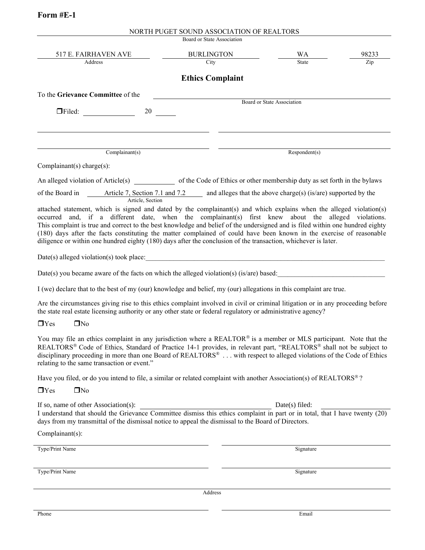## **Form #E-1**

|                                                                                                                                                                                                                                                                                                                                                                                                                                                                                                                                                                                                                                                    | NORTH PUGET SOUND ASSOCIATION OF REALTORS<br>Board or State Association                       |                            |       |
|----------------------------------------------------------------------------------------------------------------------------------------------------------------------------------------------------------------------------------------------------------------------------------------------------------------------------------------------------------------------------------------------------------------------------------------------------------------------------------------------------------------------------------------------------------------------------------------------------------------------------------------------------|-----------------------------------------------------------------------------------------------|----------------------------|-------|
| 517 E. FAIRHAVEN AVE                                                                                                                                                                                                                                                                                                                                                                                                                                                                                                                                                                                                                               | <b>BURLINGTON</b>                                                                             | WA                         | 98233 |
| Address                                                                                                                                                                                                                                                                                                                                                                                                                                                                                                                                                                                                                                            | City                                                                                          | <b>State</b>               | Zip   |
|                                                                                                                                                                                                                                                                                                                                                                                                                                                                                                                                                                                                                                                    | <b>Ethics Complaint</b>                                                                       |                            |       |
| To the Grievance Committee of the                                                                                                                                                                                                                                                                                                                                                                                                                                                                                                                                                                                                                  |                                                                                               |                            |       |
|                                                                                                                                                                                                                                                                                                                                                                                                                                                                                                                                                                                                                                                    |                                                                                               | Board or State Association |       |
| 20<br>$\Box$ Filed:                                                                                                                                                                                                                                                                                                                                                                                                                                                                                                                                                                                                                                |                                                                                               |                            |       |
|                                                                                                                                                                                                                                                                                                                                                                                                                                                                                                                                                                                                                                                    |                                                                                               |                            |       |
| Complainant(s)                                                                                                                                                                                                                                                                                                                                                                                                                                                                                                                                                                                                                                     |                                                                                               | Respondent(s)              |       |
| Complainant(s) charge(s):                                                                                                                                                                                                                                                                                                                                                                                                                                                                                                                                                                                                                          |                                                                                               |                            |       |
| An alleged violation of Article(s) of the Code of Ethics or other membership duty as set forth in the bylaws                                                                                                                                                                                                                                                                                                                                                                                                                                                                                                                                       |                                                                                               |                            |       |
| of the Board in<br>Article, Section                                                                                                                                                                                                                                                                                                                                                                                                                                                                                                                                                                                                                | Article 7, Section 7.1 and 7.2 and alleges that the above charge(s) (is/are) supported by the |                            |       |
| attached statement, which is signed and dated by the complainant(s) and which explains when the alleged violation(s)<br>occurred and, if a different date, when the complainant(s) first knew about the alleged violations.<br>This complaint is true and correct to the best knowledge and belief of the undersigned and is filed within one hundred eighty<br>(180) days after the facts constituting the matter complained of could have been known in the exercise of reasonable<br>diligence or within one hundred eighty (180) days after the conclusion of the transaction, whichever is later.<br>Date(s) alleged violation(s) took place: |                                                                                               |                            |       |
| Date(s) you became aware of the facts on which the alleged violation(s) (is/are) based:                                                                                                                                                                                                                                                                                                                                                                                                                                                                                                                                                            |                                                                                               |                            |       |
| I (we) declare that to the best of my (our) knowledge and belief, my (our) allegations in this complaint are true.                                                                                                                                                                                                                                                                                                                                                                                                                                                                                                                                 |                                                                                               |                            |       |
| Are the circumstances giving rise to this ethics complaint involved in civil or criminal litigation or in any proceeding before<br>the state real estate licensing authority or any other state or federal regulatory or administrative agency?                                                                                                                                                                                                                                                                                                                                                                                                    |                                                                                               |                            |       |
| $\square$ No<br>$\Box$ Yes                                                                                                                                                                                                                                                                                                                                                                                                                                                                                                                                                                                                                         |                                                                                               |                            |       |
| You may file an ethics complaint in any jurisdiction where a REALTOR® is a member or MLS participant. Note that the<br>REALTORS® Code of Ethics, Standard of Practice 14-1 provides, in relevant part, "REALTORS® shall not be subject to<br>disciplinary proceeding in more than one Board of REALTORS®  with respect to alleged violations of the Code of Ethics<br>relating to the same transaction or event."                                                                                                                                                                                                                                  |                                                                                               |                            |       |
| Have you filed, or do you intend to file, a similar or related complaint with another Association(s) of REALTORS <sup>®</sup> ?                                                                                                                                                                                                                                                                                                                                                                                                                                                                                                                    |                                                                                               |                            |       |
| $\square$ No<br>$\Box$ Yes                                                                                                                                                                                                                                                                                                                                                                                                                                                                                                                                                                                                                         |                                                                                               |                            |       |
|                                                                                                                                                                                                                                                                                                                                                                                                                                                                                                                                                                                                                                                    |                                                                                               |                            |       |
| If so, name of other Association(s):                                                                                                                                                                                                                                                                                                                                                                                                                                                                                                                                                                                                               |                                                                                               |                            |       |
| I understand that should the Grievance Committee dismiss this ethics complaint in part or in total, that I have twenty (20)<br>days from my transmittal of the dismissal notice to appeal the dismissal to the Board of Directors.                                                                                                                                                                                                                                                                                                                                                                                                                 |                                                                                               | $Date(s)$ filed:           |       |
| Complainant(s):                                                                                                                                                                                                                                                                                                                                                                                                                                                                                                                                                                                                                                    |                                                                                               |                            |       |
| Type/Print Name                                                                                                                                                                                                                                                                                                                                                                                                                                                                                                                                                                                                                                    |                                                                                               | Signature                  |       |